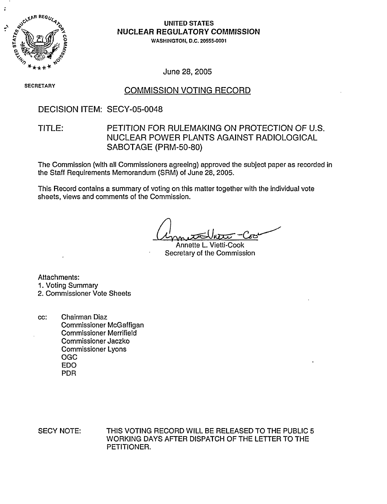

### UNITED STATES NUCLEAR REGULATORY COMMISSION

WASHINGTON, D.C. 20555-0001

June 28, 2005

**SECRETARY** 

### COMMISSION VOTING RECORD

## DECISION ITEM: SECY-05-0048

# TITLE: PETITION FOR RULEMAKING ON PROTECTION OF U.S. NUCLEAR POWER PLANTS AGAINST RADIOLOGICAL SABOTAGE (PRM-50-80)

The Commission (with all Commissioners agreeing) approved the subject paper as recorded in the Staff Requirements Memorandum (SRM) of June 28, 2005.

This Record contains a summary of voting on this matter together with the individual vote sheets, views and comments of the Commission.

Annette L. Vietti-Cook Secretary of the Commission

Attachments:

1. Voting Summary

# 2. Commissioner Vote Sheets

cc: Chairman Diaz Commissioner McGaffigan Commissioner Merrifield Commissioner Jaczko Commissioner Lyons OGC EDO PDR

SECY NOTE: THIS VOTING RECORD WILL BE RELEASED TO THE PUBLIC 5 WORKING DAYS AFTER DISPATCH OF THE LETTER TO THE PETITIONER.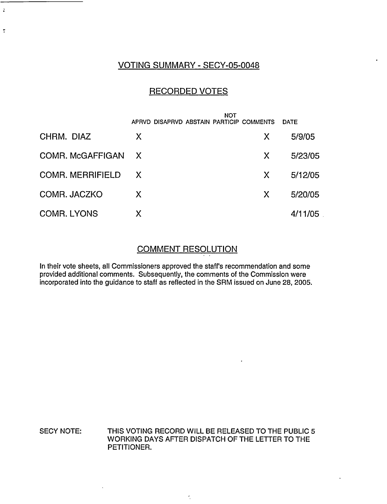## VOTING SUMMARY - SECY-05-0048

 $\ddot{\cdot}$ 

 $\ddot{\cdot}$ 

## RECORDED VOTES

|                         | NOT<br>APRVD DISAPRVD ABSTAIN PARTICIP COMMENTS |              | <b>DATE</b> |
|-------------------------|-------------------------------------------------|--------------|-------------|
| CHRM. DIAZ              | X                                               | Χ            | 5/9/05      |
| COMR. McGAFFIGAN        | $\mathsf{X}$                                    | X            | 5/23/05     |
| <b>COMR. MERRIFIELD</b> | $\mathsf{X}$                                    | $\mathsf{X}$ | 5/12/05     |
| COMR. JACZKO            | X                                               | X            | 5/20/05     |
| <b>COMR. LYONS</b>      | X                                               |              | 4/11/05     |

### COMMENT RESOLUTION

 $\ddot{\phantom{a}}$ 

In their vote sheets, all Commissioners approved the staff's recommendation and some provided additional comments. Subsequently, the comments of the Commission were incorporated into the guidance to staff as reflected in the SRM issued on June 28, 2005.

#### SECY NOTE: THIS VOTING RECORD WILL BE RELEASED TO THE PUBLIC 5 WORKING DAYS AFTER DISPATCH OF THE LETTER TO THE PETITIONER.

 $\hat{\mathcal{L}}$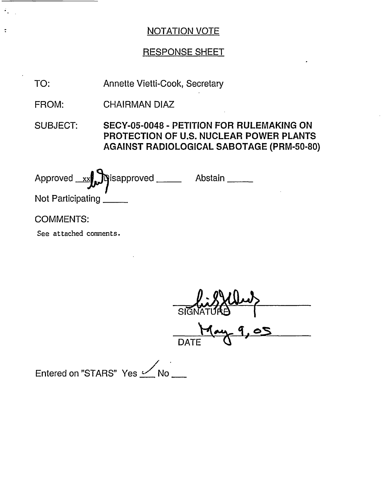# RESPONSE SHEET

TO: Annette Vietti-Cook, Secretary

FROM: CHAIRMAN DIAZ

SUBJECT: SECY-05-0048 - PETITION FOR RULEMAKING ON **PROTECTION OF U.S. NUCLEAR POWER PLANTS AGAINST RADIOLOGICAL SABOTAGE (PRM-50-80)**

| Approved xx prisapproved ____ | Abstain |
|-------------------------------|---------|
| Not Participating             |         |
| <b>COMMENTS:</b>              |         |

See attached comments.

 $\mathcal{F}_{\mathbf{r},\mathbf{r},\mathbf{r}}$ 

 $\ddot{\cdot}$ 

 $\tilde{\boldsymbol{\nu}}$  $\overline{\mathsf{Si}}$ <u>19ay 9,0</u> DATI

Entered on "STARS" Yes  $\mathcal{L}$ No $\mathcal{L}$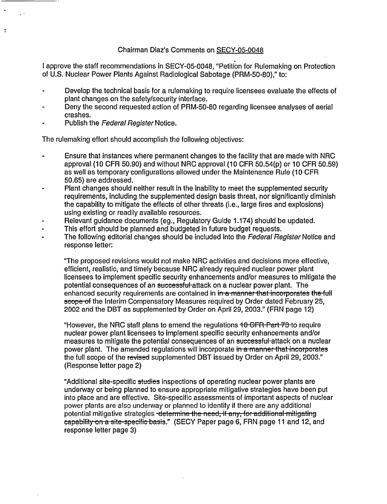#### Chairman Diaz's Comments on SECY-05-0048

I approve the staff recommendations in SECY-05-0048, "Petition for Rulemaking on Protection of U.S. Nuclear Power Plants Against Radiological Sabotage (PRM-50-80)," to:

- Develop the technical basis for a rulemaking to require licensees evaluate the effects of plant changes on the safety/security interface.
- Deny the second requested action of PRM-50-80 regarding licensee analyses of aerial crashes.
- Publish the Federal Register Notice.

 $\ddot{\phantom{a}}$ 

The rulemaking effort should accomplish the following objectives:

- Ensure that instances where permanent changes to the facility that are made with NRC approval (10 CFR 50.90) and without NRC approval (10 CFR 50.54(p) or 10 CFR 50.59) as well as temporary configurations allowed under the Maintenance Rule (10 CFR 50.65) are addressed.
- Plant changes should neither result in the inability to meet the supplemented security requirements, including the supplemented design basis threat, nor significantly diminish the capability to mitigate the effects of other threats (i.e., large fires and explosions) using existing or readily available resources.
- Relevant guidance documents (eg., Regulatory Guide 1.174) should be updated.
- This effort should be planned and budgeted in future budget requests.
- The following editorial changes should be included into the Federal Register Notice and response letter:

"The proposed revisions would not make NRC activities and decisions more effective, efficient, realistic, and timely because NRC already required nuclear power plant licensees to implement specific security enhancements and/or measures to mitigate the potential consequences of an successful-attack on a nuclear power plant. The enhanced security requirements are contained in in a manner that incorporates the full scope-of the Interim Compensatory Measures required by Order dated February 25, 2002 and the DBT as supplemented by Order on April 29, 2003." (FRN page 12)

"However, the NRC staff plans to amend the regulations 40 GFR Part-73-to require nuclear power plant licensees to implement specific security enhancements and/or measures to mitigate the potential consequences of an successful-attack on a nuclear power plant. The amended regulations will incorporate in a manner-that incorporates the full scope of the revised supplemented DBT issued by Order on April 29, 2003." (Response letter page 2)

"Additional site-specific studies inspections of operating nuclear power plants are underway or being planned to ensure appropriate mitigative strategies have been put into place and are effective. Site-specific assessments of important aspects of nuclear power plants are also underway or planned to identify if there are any additional potential mitigative strategies -determine the need, if any, for additional mitigating capability on a site-specific basis." (SECY Paper page 6, FRN page 11 and 12, and response letter page 3)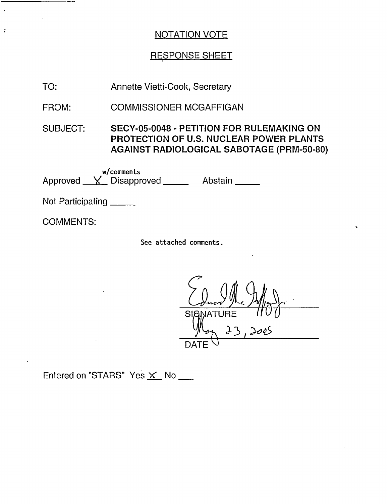## RESPONSE SHEET

TO: Annette Vietti-Cook, Secretary

FROM: COMMISSIONER MCGAFFIGAN

SUBJECT: SECY-05-0048 - PETITION FOR RULEMAKING ON PROTECTION OF U.S. NUCLEAR POWER PLANTS AGAINST RADIOLOGICAL SABOTAGE (PRM-50-80)

w/comments Approved <u>Y</u> Disapproved Abstain

Not Participating

COMMENTS:

 $\ddot{\cdot}$ 

See attached comments.

 $S<sub>l</sub>$ J- *, De,>6*  $\frac{1}{0}$ DATE  $\backslash$ 

 $\epsilon$ 

Entered on "STARS" Yes  $\times$  No  $\_\_$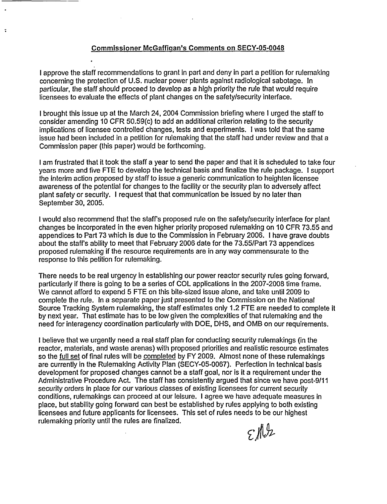#### Commissioner McGaffigan's Comments on SECY-05-0048

 $\overline{\cdot}$ 

I approve the staff recommendations to grant in part and deny in part a petition for rulemaking concerning the protection of U.S. nuclear power plants against radiological sabotage. In particular, the staff should proceed to develop as a high priority the rule that would require licensees to evaluate the effects of plant changes on the safety/security interface.

I brought this issue up at the March 24, 2004 Commission briefing where I urged the staff to consider amending 10 CFR 50.59(c) to add an additional criterion relating to the security implications of licensee controlled changes, tests and experiments. I was told that the same issue had been included in a petition for rulemaking that the staff had under review and that a Commission paper (this paper) would be forthcoming.

I am frustrated that it took the staff a year to send the paper and that it is scheduled to take four years more and five FTE to develop the technical basis and finalize the rule package. I support the interim action proposed by staff to issue a generic communication to heighten licensee awareness of the potential for changes to the facility or the security plan to adversely affect plant safety or security. I request that that communication be issued by no later than September 30, 2005.

I would also recommend that the staff's proposed rule on the safety/security interface for plant changes be incorporated in the even higher priority proposed rulemaking on 10 CFR 73.55 and appendices to Part 73 which is due to the Commission in February 2006. I have grave doubts about the staff's ability to meet that February 2006 date for the 73.55/Part 73 appendices proposed rulemaking if the resource requirements are in any way commensurate to the response to this petition for rulemaking.

There needs to be real urgency in establishing our power reactor security rules going forward, particularly if there is going to be a series of COL applications in the 2007-2008 time frame. We cannot afford to expend 5 FTE on this bite-sized issue alone, and take until 2009 to complete the rule. In a separate paper just presented to the Commission on the National Source Tracking System rulemaking, the staff estimates only 1.2 FTE are needed to complete it by next year. That estimate has to be low given the complexities of that rulemaking and the need for interagency coordination particularly with DOE, DHS, and OMB on our requirements.

I believe that we urgently need a real staff plan for conducting security rulemakings (in the reactor, materials, and waste arenas) with proposed priorities and realistic resource estimates so the full set of final rules will be completed by FY 2009. Almost none of these rulemakings are currently in the Rulemaking Activity Plan (SECY-05-0067). Perfection in technical basis development for proposed changes cannot be a staff goal, nor is it a requirement under the Administrative Procedure Act. The staff has consistently argued that since we have post-9/11 security orders in place for our various classes of existing licensees for current security conditions, rulemakings can proceed at our leisure. I agree we have adequate measures in place, but stability going forward can best be established by rules applying to both existing licensees and future applicants for licensees. This set of rules needs to be our highest rulemaking priority until the rules are finalized.

 $\mathcal{E}$ // $\mathcal{V}$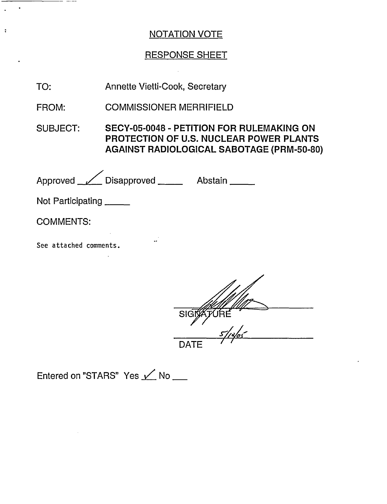# RESPONSE SHEET

 $\mathcal{L}^{\text{max}}_{\text{max}}$ 

| TO:                     | Annette Vietti-Cook, Secretary        |                                                                                                                                                        |  |  |
|-------------------------|---------------------------------------|--------------------------------------------------------------------------------------------------------------------------------------------------------|--|--|
| FROM:                   | <b>COMMISSIONER MERRIFIELD</b>        |                                                                                                                                                        |  |  |
| <b>SUBJECT:</b>         |                                       | <b>SECY-05-0048 - PETITION FOR RULEMAKING ON</b><br><b>PROTECTION OF U.S. NUCLEAR POWER PLANTS</b><br><b>AGAINST RADIOLOGICAL SABOTAGE (PRM-50-80)</b> |  |  |
|                         | Approved <u>V</u> Disapproved Abstain |                                                                                                                                                        |  |  |
| Not Participating _____ |                                       |                                                                                                                                                        |  |  |
| <b>COMMENTS:</b>        |                                       |                                                                                                                                                        |  |  |
| See attached comments.  |                                       |                                                                                                                                                        |  |  |
|                         | SIGI                                  |                                                                                                                                                        |  |  |

 $\frac{5}{4005}$ 

Entered on "STARS" Yes  $\angle$  No \_\_

 $\sim 10^{11}$ 

\_\_\_\_\_\_\_

 $\frac{1}{2}$  ,  $\frac{1}{2}$ 

 $\ddot{\phantom{a}}$ 

 $\langle \cdot \rangle$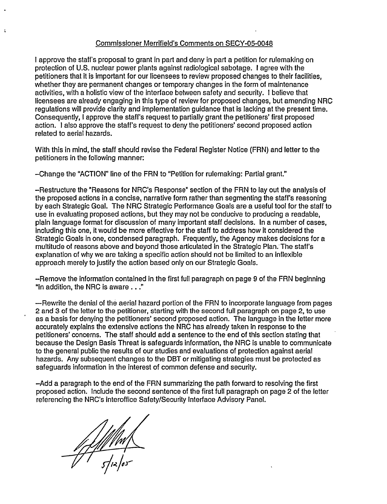#### Commissioner Merrifield's Comments on SECY-05-0048

I approve the staff's proposal to grant in part and deny in part a petition for rulemaking on protection of U.S. nuclear power plants against radiological sabotage. I agree with the petitioners that it is important for our licensees to review proposed changes to their facilities, whether they are permanent changes or temporary changes in the form of maintenance activities, with a holistic view of the interface between safety and security. I believe that licensees are already engaging in this type of review for proposed changes, but amending NRC regulations will provide clarity and implementation guidance that is lacking at the present time. Consequently, I approve the staff's request to partially grant the petitioners' first proposed action. I also approve the staff's request to deny the petitioners' second proposed action related to aerial hazards.

With this in mind, the staff should revise the Federal Register Notice (FRN) and letter to the petitioners in the following manner:

-Change the "ACTION" line of the FRN to "Petition for rulemaking: Partial grant."

-Restructure the "Reasons for NRC's Response" section of the FRN to lay out the analysis of the proposed actions in a concise, narrative form rather than segmenting the staff's reasoning by each Strategic Goal. The NRC Strategic Performance Goals are a useful tool for the staff to use in evaluating proposed actions, but they may not be conducive to producing a readable, plain language format for discussion of many important staff decisions. In a number of cases, including this one, it would be more effective for the staff to address how it considered the Strategic Goals in one, condensed paragraph. Frequently, the Agency makes decisions for a multitude of reasons above and beyond those articulated in the Strategic Plan. The staff's explanation of why we are taking a specific action should not be limited to an inflexible approach merely to justify the action based only on our Strategic Goals.

-Remove the information contained in the first full paragraph on page 9 of the FRN beginning 'in addition, the NRC is aware. . ."

-Rewrite the denial of the aerial hazard portion of the FRN to incorporate language from pages 2 and 3 of the letter to the petitioner, starting with the second full paragraph on page 2, to use as a basis for denying the petitioners' second proposed action. The language in the letter more accurately explains the extensive actions the NRC has already taken in response to the petitioners' concerns. The staff should add a sentence to the end of this section stating that because the Design Basis Threat is safeguards information, the NRC is unable to communicate to the general public the results of our studies and evaluations of protection against aerial hazards. Any subsequent changes to the DBT or mitigating strategies must be protected as safeguards information in the interest of common defense and security.

-Add a paragraph to the end of the FRN summarizing the path forward to resolving the first proposed action. Include the second sentence of the first full paragraph on page 2 of the letter referencing the NRC's interoffice Safety/Security Interface Advisory Panel.

f f f f f hrt f<br>die les

 $\ddot{\cdot}$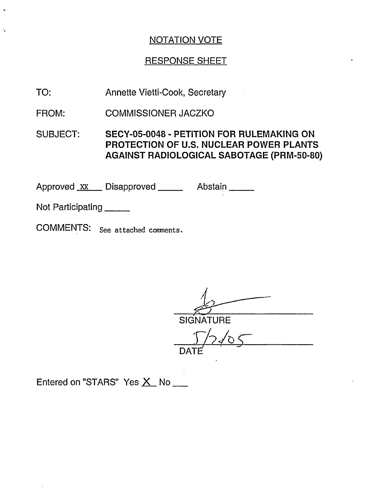# RESPONSE SHEET

TO: Annette Vietti-Cook, Secretary

FROM: COMMISSIONER JACZKO

SUBJECT: SECY-05-0048 - PETITION FOR RULEMAKING ON PROTECTION OF **U.S.** NUCLEAR POWER PLANTS AGAINST RADIOLOGICAL SABOTAGE (PRM-50-80)

Approved xx Disapproved \_\_\_\_\_ Abstain

Not Participating

COMMENTS: See attached comnents.

 $\overline{\phantom{a}}$ **SIGNATURE** DATE'

Entered on "STARS" Yes X No \_\_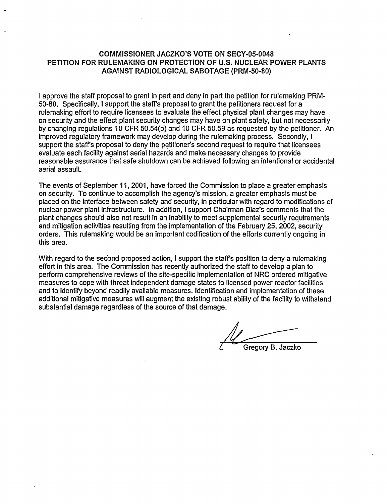#### **COMMISSIONER JACZKO'S VOTE ON SECY-05-0048 PETITION** FOR **RULEMAKING ON PROTECTION OF U.S. NUCLEAR** POWER **PLANTS AGAINST RADIOLOGICAL SABOTAGE** (PRM-50-80)

I approve the staff proposal to grant in part and deny in part the petition for rulemaking PRM-50-80. Specifically, I support the staff's proposal to grant the petitioners request for a rulemaking effort to require licensees to evaluate the effect physical plant changes may have on security and the effect plant security changes may have on plant safety, but not necessarily by changing regulations 10 CFR 50.54(p) and 10 CFR 50.59 as requested by the petitioner. An improved regulatory framework may develop during the rulemaking process. Secondly, I support the staff's proposal to deny the petitioner's second request to require that licensees evaluate each facility against aerial hazards and make necessary changes to provide reasonable assurance that safe shutdown can be achieved following an intentional or accidental aerial assault.

The events of September 11, 2001, have forced the Commission to place a greater emphasis on security. To continue to accomplish the agency's mission, a greater emphasis must be placed on the interface between safety and security, in particular with regard to modifications of nuclear power plant infrastructure. In addition, I support Chairman Diaz's comments that the plant changes should also not result in an inability to meet supplemental security requirements and mitigation activities resulting from the implementation of the February 25, 2002, security orders. This rulemaking would be an important codification of the efforts currently ongoing in this area.

With regard to the second proposed action, I support the staff's position to deny a rulemaking effort in this area. The Commission has recently authorized the staff to develop a plan to perform comprehensive reviews of the site-specific implementation of NRC ordered mitigative measures to cope with threat independent damage states to licensed power reactor facilities and to identify beyond readily available measures. Identification and implementation of these additional mitigative measures will augment the existing robust ability of the facility to withstand substantial damage regardless of the source of that damage.

Gregory B. Jaczko